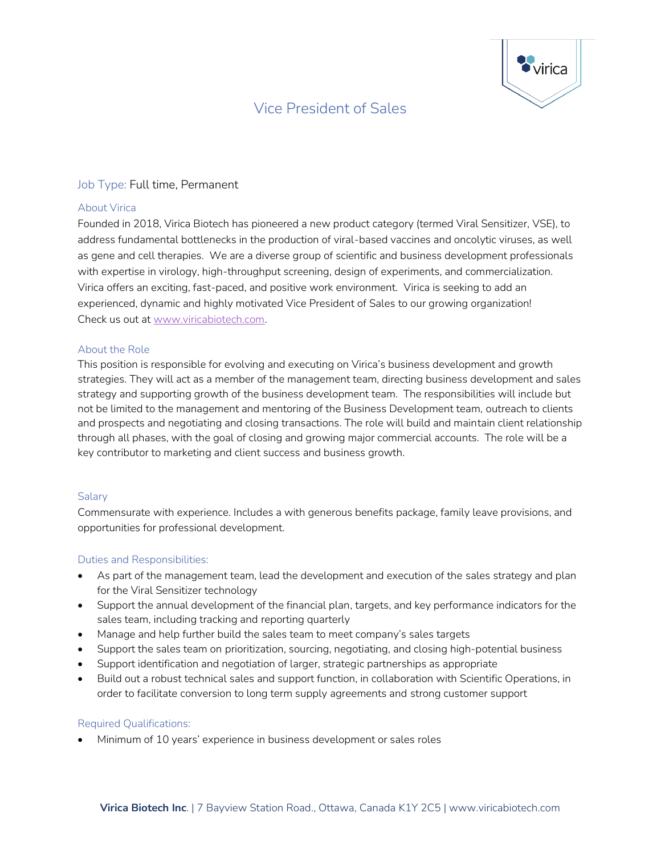# Vice President of Sales



## Job Type: Full time, Permanent

#### About Virica

Founded in 2018, Virica Biotech has pioneered a new product category (termed Viral Sensitizer, VSE), to address fundamental bottlenecks in the production of viral-based vaccines and oncolytic viruses, as well as gene and cell therapies. We are a diverse group of scientific and business development professionals with expertise in virology, high-throughput screening, design of experiments, and commercialization. Virica offers an exciting, fast-paced, and positive work environment. Virica is seeking to add an experienced, dynamic and highly motivated Vice President of Sales to our growing organization! Check us out at [www.viricabiotech.com.](http://www.viricabiotech.com/)

#### About the Role

This position is responsible for evolving and executing on Virica's business development and growth strategies. They will act as a member of the management team, directing business development and sales strategy and supporting growth of the business development team. The responsibilities will include but not be limited to the management and mentoring of the Business Development team, outreach to clients and prospects and negotiating and closing transactions. The role will build and maintain client relationship through all phases, with the goal of closing and growing major commercial accounts. The role will be a key contributor to marketing and client success and business growth.

## **Salary**

Commensurate with experience. Includes a with generous benefits package, family leave provisions, and opportunities for professional development.

## Duties and Responsibilities:

- As part of the management team, lead the development and execution of the sales strategy and plan for the Viral Sensitizer technology
- Support the annual development of the financial plan, targets, and key performance indicators for the sales team, including tracking and reporting quarterly
- Manage and help further build the sales team to meet company's sales targets
- Support the sales team on prioritization, sourcing, negotiating, and closing high-potential business
- Support identification and negotiation of larger, strategic partnerships as appropriate
- Build out a robust technical sales and support function, in collaboration with Scientific Operations, in order to facilitate conversion to long term supply agreements and strong customer support

#### Required Qualifications:

• Minimum of 10 years' experience in business development or sales roles